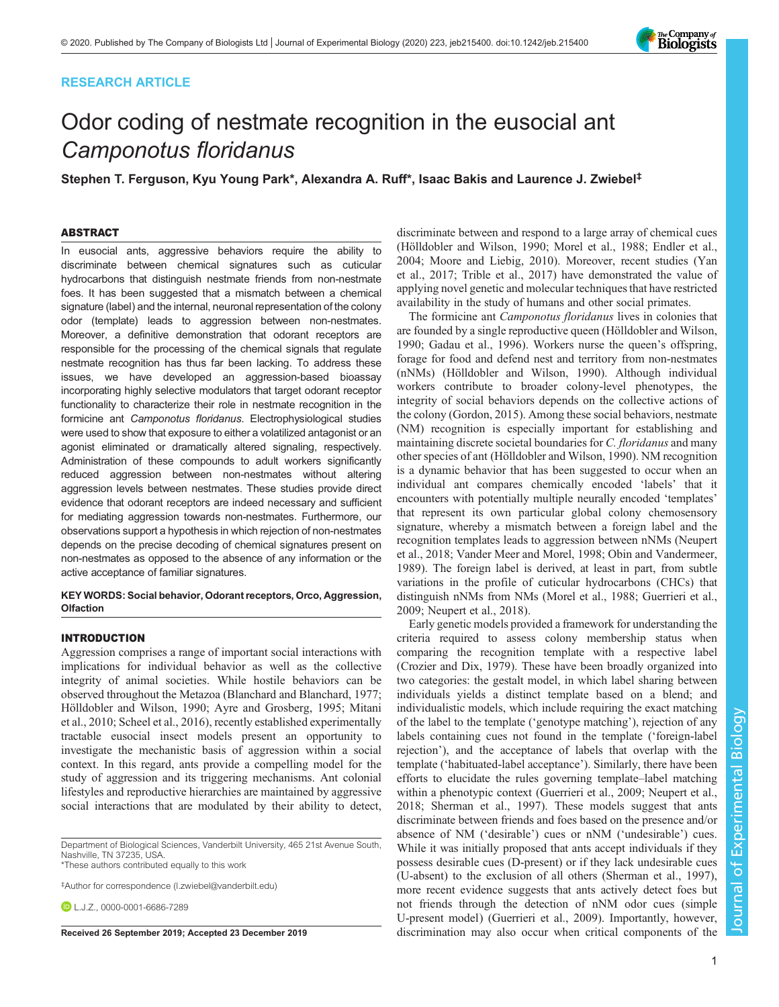# RESEARCH ARTICLE



# Odor coding of nestmate recognition in the eusocial ant Camponotus floridanus

Stephen T. Ferguson, Kyu Young Park\*, Alexandra A. Ruff\*, Isaac Bakis and Laurence J. Zwiebel<sup>‡</sup>

# ABSTRACT

In eusocial ants, aggressive behaviors require the ability to discriminate between chemical signatures such as cuticular hydrocarbons that distinguish nestmate friends from non-nestmate foes. It has been suggested that a mismatch between a chemical signature (label) and the internal, neuronal representation of the colony odor (template) leads to aggression between non-nestmates. Moreover, a definitive demonstration that odorant receptors are responsible for the processing of the chemical signals that regulate nestmate recognition has thus far been lacking. To address these issues, we have developed an aggression-based bioassay incorporating highly selective modulators that target odorant receptor functionality to characterize their role in nestmate recognition in the formicine ant Camponotus floridanus. Electrophysiological studies were used to show that exposure to either a volatilized antagonist or an agonist eliminated or dramatically altered signaling, respectively. Administration of these compounds to adult workers significantly reduced aggression between non-nestmates without altering aggression levels between nestmates. These studies provide direct evidence that odorant receptors are indeed necessary and sufficient for mediating aggression towards non-nestmates. Furthermore, our observations support a hypothesis in which rejection of non-nestmates depends on the precise decoding of chemical signatures present on non-nestmates as opposed to the absence of any information or the active acceptance of familiar signatures.

#### KEY WORDS: Social behavior, Odorant receptors, Orco, Aggression, **Olfaction**

#### INTRODUCTION

Aggression comprises a range of important social interactions with implications for individual behavior as well as the collective integrity of animal societies. While hostile behaviors can be observed throughout the Metazoa ([Blanchard and Blanchard, 1977](#page-7-0); [Hölldobler and Wilson, 1990](#page-8-0); [Ayre and Grosberg, 1995;](#page-7-0) [Mitani](#page-8-0) [et al., 2010; Scheel et al., 2016](#page-8-0)), recently established experimentally tractable eusocial insect models present an opportunity to investigate the mechanistic basis of aggression within a social context. In this regard, ants provide a compelling model for the study of aggression and its triggering mechanisms. Ant colonial lifestyles and reproductive hierarchies are maintained by aggressive social interactions that are modulated by their ability to detect,

Department of Biological Sciences, Vanderbilt University, 465 21st Avenue South, Nashville, TN 37235, USA.

\*These authors contributed equally to this work

‡ Author for correspondence ([l.zwiebel@vanderbilt.edu\)](mailto:l.zwiebel@vanderbilt.edu)

**D**L.J.Z., [0000-0001-6686-7289](http://orcid.org/0000-0001-6686-7289)

discriminate between and respond to a large array of chemical cues [\(Hölldobler and Wilson, 1990](#page-8-0); [Morel et al., 1988;](#page-8-0) [Endler et al.,](#page-7-0) [2004;](#page-7-0) [Moore and Liebig, 2010](#page-8-0)). Moreover, recent studies [\(Yan](#page-9-0) [et al., 2017;](#page-9-0) [Trible et al., 2017\)](#page-8-0) have demonstrated the value of applying novel genetic and molecular techniques that have restricted availability in the study of humans and other social primates.

The formicine ant Camponotus floridanus lives in colonies that are founded by a single reproductive queen [\(Hölldobler and Wilson,](#page-8-0) [1990; Gadau et al., 1996](#page-8-0)). Workers nurse the queen's offspring, forage for food and defend nest and territory from non-nestmates (nNMs) [\(Hölldobler and Wilson, 1990](#page-8-0)). Although individual workers contribute to broader colony-level phenotypes, the integrity of social behaviors depends on the collective actions of the colony ([Gordon, 2015](#page-8-0)). Among these social behaviors, nestmate (NM) recognition is especially important for establishing and maintaining discrete societal boundaries for C. *floridanus* and many other species of ant ([Hölldobler and Wilson, 1990\)](#page-8-0). NM recognition is a dynamic behavior that has been suggested to occur when an individual ant compares chemically encoded 'labels' that it encounters with potentially multiple neurally encoded 'templates' that represent its own particular global colony chemosensory signature, whereby a mismatch between a foreign label and the recognition templates leads to aggression between nNMs ([Neupert](#page-8-0) [et al., 2018; Vander Meer and Morel, 1998](#page-8-0); [Obin and Vandermeer,](#page-8-0) [1989\)](#page-8-0). The foreign label is derived, at least in part, from subtle variations in the profile of cuticular hydrocarbons (CHCs) that distinguish nNMs from NMs ([Morel et al., 1988](#page-8-0); [Guerrieri et al.,](#page-8-0) [2009; Neupert et al., 2018\)](#page-8-0).

Early genetic models provided a framework for understanding the criteria required to assess colony membership status when comparing the recognition template with a respective label [\(Crozier and Dix, 1979\)](#page-7-0). These have been broadly organized into two categories: the gestalt model, in which label sharing between individuals yields a distinct template based on a blend; and individualistic models, which include requiring the exact matching of the label to the template ('genotype matching'), rejection of any labels containing cues not found in the template ('foreign-label rejection'), and the acceptance of labels that overlap with the template ('habituated-label acceptance'). Similarly, there have been efforts to elucidate the rules governing template–label matching within a phenotypic context ([Guerrieri et al., 2009; Neupert et al.,](#page-8-0) [2018; Sherman et al., 1997](#page-8-0)). These models suggest that ants discriminate between friends and foes based on the presence and/or absence of NM ('desirable') cues or nNM ('undesirable') cues. While it was initially proposed that ants accept individuals if they possess desirable cues (D-present) or if they lack undesirable cues (U-absent) to the exclusion of all others ([Sherman et al., 1997\)](#page-8-0), more recent evidence suggests that ants actively detect foes but not friends through the detection of nNM odor cues (simple U-present model) ([Guerrieri et al., 2009\)](#page-8-0). Importantly, however, Received 26 September 2019; Accepted 23 December 2019 discrimination may also occur when critical components of the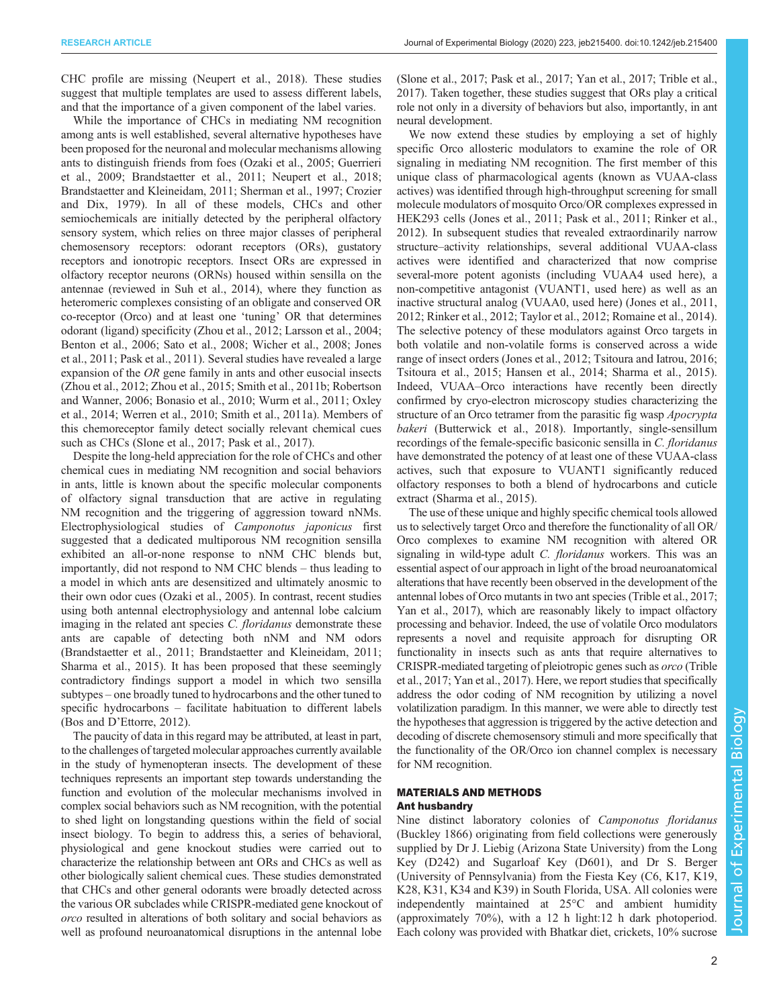CHC profile are missing ([Neupert et al., 2018\)](#page-8-0). These studies suggest that multiple templates are used to assess different labels, and that the importance of a given component of the label varies.

While the importance of CHCs in mediating NM recognition among ants is well established, several alternative hypotheses have been proposed for the neuronal and molecular mechanisms allowing ants to distinguish friends from foes ([Ozaki et al., 2005](#page-8-0); [Guerrieri](#page-8-0) [et al., 2009;](#page-8-0) [Brandstaetter et al., 2011](#page-7-0); [Neupert et al., 2018](#page-8-0); [Brandstaetter and Kleineidam, 2011;](#page-7-0) [Sherman et al., 1997;](#page-8-0) [Crozier](#page-7-0) [and Dix, 1979\)](#page-7-0). In all of these models, CHCs and other semiochemicals are initially detected by the peripheral olfactory sensory system, which relies on three major classes of peripheral chemosensory receptors: odorant receptors (ORs), gustatory receptors and ionotropic receptors. Insect ORs are expressed in olfactory receptor neurons (ORNs) housed within sensilla on the antennae (reviewed in [Suh et al., 2014\)](#page-8-0), where they function as heteromeric complexes consisting of an obligate and conserved OR co-receptor (Orco) and at least one 'tuning' OR that determines odorant (ligand) specificity [\(Zhou et al., 2012](#page-9-0); [Larsson et al., 2004](#page-8-0); [Benton et al., 2006;](#page-7-0) [Sato et al., 2008;](#page-8-0) [Wicher et al., 2008](#page-9-0); [Jones](#page-8-0) [et al., 2011; Pask et al., 2011\)](#page-8-0). Several studies have revealed a large expansion of the OR gene family in ants and other eusocial insects [\(Zhou et al., 2012](#page-9-0); [Zhou et al., 2015;](#page-9-0) [Smith et al., 2011b; Robertson](#page-8-0) [and Wanner, 2006](#page-8-0); [Bonasio et al., 2010](#page-7-0); [Wurm et al., 2011](#page-9-0); [Oxley](#page-8-0) [et al., 2014;](#page-8-0) [Werren et al., 2010;](#page-9-0) [Smith et al., 2011a\)](#page-8-0). Members of this chemoreceptor family detect socially relevant chemical cues such as CHCs [\(Slone et al., 2017](#page-8-0); [Pask et al., 2017](#page-8-0)).

Despite the long-held appreciation for the role of CHCs and other chemical cues in mediating NM recognition and social behaviors in ants, little is known about the specific molecular components of olfactory signal transduction that are active in regulating NM recognition and the triggering of aggression toward nNMs. Electrophysiological studies of Camponotus japonicus first suggested that a dedicated multiporous NM recognition sensilla exhibited an all-or-none response to nNM CHC blends but, importantly, did not respond to NM CHC blends – thus leading to a model in which ants are desensitized and ultimately anosmic to their own odor cues [\(Ozaki et al., 2005\)](#page-8-0). In contrast, recent studies using both antennal electrophysiology and antennal lobe calcium imaging in the related ant species C. floridanus demonstrate these ants are capable of detecting both nNM and NM odors [\(Brandstaetter et al., 2011](#page-7-0); [Brandstaetter and Kleineidam, 2011](#page-7-0); [Sharma et al., 2015](#page-8-0)). It has been proposed that these seemingly contradictory findings support a model in which two sensilla subtypes – one broadly tuned to hydrocarbons and the other tuned to specific hydrocarbons – facilitate habituation to different labels (Bos and D'[Ettorre, 2012\)](#page-7-0).

The paucity of data in this regard may be attributed, at least in part, to the challenges of targeted molecular approaches currently available in the study of hymenopteran insects. The development of these techniques represents an important step towards understanding the function and evolution of the molecular mechanisms involved in complex social behaviors such as NM recognition, with the potential to shed light on longstanding questions within the field of social insect biology. To begin to address this, a series of behavioral, physiological and gene knockout studies were carried out to characterize the relationship between ant ORs and CHCs as well as other biologically salient chemical cues. These studies demonstrated that CHCs and other general odorants were broadly detected across the various OR subclades while CRISPR-mediated gene knockout of orco resulted in alterations of both solitary and social behaviors as well as profound neuroanatomical disruptions in the antennal lobe

[\(Slone et al., 2017; Pask et al., 2017;](#page-8-0) [Yan et al., 2017](#page-9-0); [Trible et al.,](#page-8-0) [2017\)](#page-8-0). Taken together, these studies suggest that ORs play a critical role not only in a diversity of behaviors but also, importantly, in ant neural development.

We now extend these studies by employing a set of highly specific Orco allosteric modulators to examine the role of OR signaling in mediating NM recognition. The first member of this unique class of pharmacological agents (known as VUAA-class actives) was identified through high-throughput screening for small molecule modulators of mosquito Orco/OR complexes expressed in HEK293 cells ([Jones et al., 2011](#page-8-0); [Pask et al., 2011; Rinker et al.,](#page-8-0) [2012\)](#page-8-0). In subsequent studies that revealed extraordinarily narrow structure–activity relationships, several additional VUAA-class actives were identified and characterized that now comprise several-more potent agonists (including VUAA4 used here), a non-competitive antagonist (VUANT1, used here) as well as an inactive structural analog (VUAA0, used here) [\(Jones et al., 2011,](#page-8-0) [2012; Rinker et al., 2012](#page-8-0); [Taylor et al., 2012; Romaine et al., 2014\)](#page-8-0). The selective potency of these modulators against Orco targets in both volatile and non-volatile forms is conserved across a wide range of insect orders [\(Jones et al., 2012](#page-8-0); [Tsitoura and Iatrou, 2016](#page-8-0); [Tsitoura et al., 2015; Hansen et al., 2014; Sharma et al., 2015\)](#page-8-0). Indeed, VUAA–Orco interactions have recently been directly confirmed by cryo-electron microscopy studies characterizing the structure of an Orco tetramer from the parasitic fig wasp Apocrypta bakeri ([Butterwick et al., 2018\)](#page-7-0). Importantly, single-sensillum recordings of the female-specific basiconic sensilla in C. floridanus have demonstrated the potency of at least one of these VUAA-class actives, such that exposure to VUANT1 significantly reduced olfactory responses to both a blend of hydrocarbons and cuticle extract [\(Sharma et al., 2015](#page-8-0)).

The use of these unique and highly specific chemical tools allowed us to selectively target Orco and therefore the functionality of all OR/ Orco complexes to examine NM recognition with altered OR signaling in wild-type adult C. *floridanus* workers. This was an essential aspect of our approach in light of the broad neuroanatomical alterations that have recently been observed in the development of the antennal lobes of Orco mutants in two ant species [\(Trible et al., 2017](#page-8-0); [Yan et al., 2017\)](#page-9-0), which are reasonably likely to impact olfactory processing and behavior. Indeed, the use of volatile Orco modulators represents a novel and requisite approach for disrupting OR functionality in insects such as ants that require alternatives to CRISPR-mediated targeting of pleiotropic genes such as orco ([Trible](#page-8-0) [et al., 2017](#page-8-0); [Yan et al., 2017](#page-9-0)). Here, we report studies that specifically address the odor coding of NM recognition by utilizing a novel volatilization paradigm. In this manner, we were able to directly test the hypotheses that aggression is triggered by the active detection and decoding of discrete chemosensory stimuli and more specifically that the functionality of the OR/Orco ion channel complex is necessary for NM recognition.

#### MATERIALS AND METHODS Ant husbandry

Nine distinct laboratory colonies of Camponotus floridanus (Buckley 1866) originating from field collections were generously supplied by Dr J. Liebig (Arizona State University) from the Long Key (D242) and Sugarloaf Key (D601), and Dr S. Berger (University of Pennsylvania) from the Fiesta Key (C6, K17, K19, K28, K31, K34 and K39) in South Florida, USA. All colonies were independently maintained at 25°C and ambient humidity (approximately 70%), with a 12 h light:12 h dark photoperiod. Each colony was provided with Bhatkar diet, crickets, 10% sucrose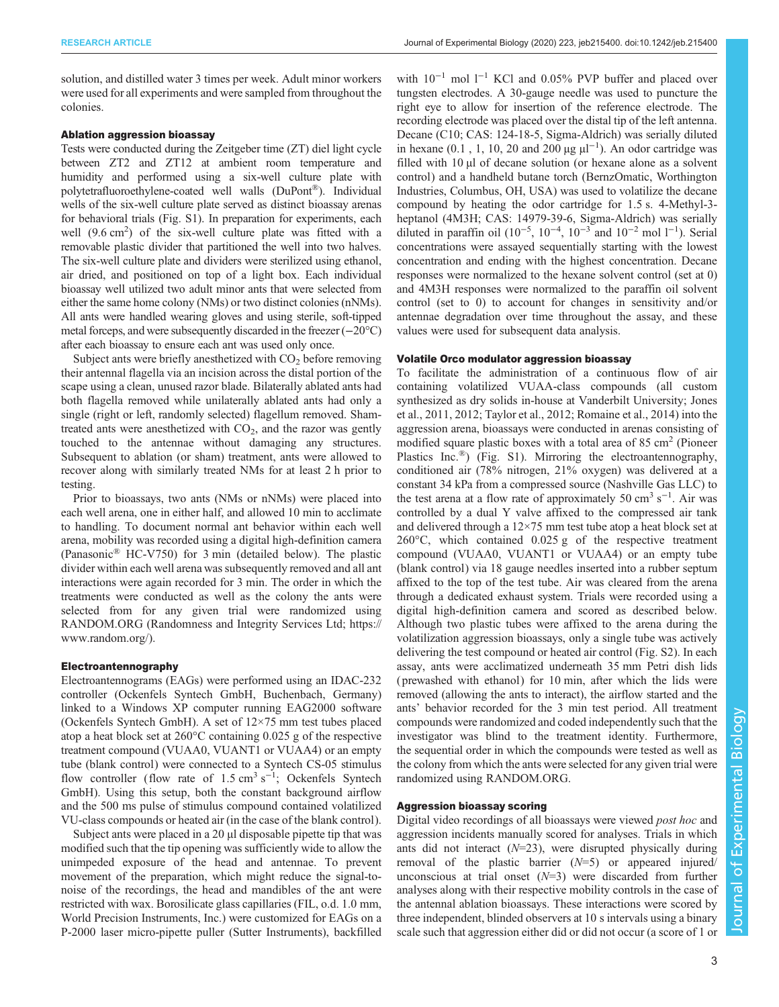solution, and distilled water 3 times per week. Adult minor workers were used for all experiments and were sampled from throughout the colonies.

#### Ablation aggression bioassay

Tests were conducted during the Zeitgeber time (ZT) diel light cycle between ZT2 and ZT12 at ambient room temperature and humidity and performed using a six-well culture plate with polytetrafluoroethylene-coated well walls (DuPont®). Individual wells of the six-well culture plate served as distinct bioassay arenas for behavioral trials ([Fig. S1](http://jeb.biologists.org/lookup/doi/10.1242/jeb.215400.supplemental)). In preparation for experiments, each well (9.6 cm<sup>2</sup>) of the six-well culture plate was fitted with a removable plastic divider that partitioned the well into two halves. The six-well culture plate and dividers were sterilized using ethanol, air dried, and positioned on top of a light box. Each individual bioassay well utilized two adult minor ants that were selected from either the same home colony (NMs) or two distinct colonies (nNMs). All ants were handled wearing gloves and using sterile, soft-tipped metal forceps, and were subsequently discarded in the freezer (−20°C) after each bioassay to ensure each ant was used only once.

Subject ants were briefly anesthetized with  $CO<sub>2</sub>$  before removing their antennal flagella via an incision across the distal portion of the scape using a clean, unused razor blade. Bilaterally ablated ants had both flagella removed while unilaterally ablated ants had only a single (right or left, randomly selected) flagellum removed. Shamtreated ants were anesthetized with  $CO<sub>2</sub>$ , and the razor was gently touched to the antennae without damaging any structures. Subsequent to ablation (or sham) treatment, ants were allowed to recover along with similarly treated NMs for at least 2 h prior to testing.

Prior to bioassays, two ants (NMs or nNMs) were placed into each well arena, one in either half, and allowed 10 min to acclimate to handling. To document normal ant behavior within each well arena, mobility was recorded using a digital high-definition camera (Panasonic® HC-V750) for 3 min (detailed below). The plastic divider within each well arena was subsequently removed and all ant interactions were again recorded for 3 min. The order in which the treatments were conducted as well as the colony the ants were selected from for any given trial were randomized using RANDOM.ORG (Randomness and Integrity Services Ltd; [https://](https://www.random.org/) [www.random.org/\)](https://www.random.org/).

#### Electroantennography

Electroantennograms (EAGs) were performed using an IDAC-232 controller (Ockenfels Syntech GmbH, Buchenbach, Germany) linked to a Windows XP computer running EAG2000 software (Ockenfels Syntech GmbH). A set of 12×75 mm test tubes placed atop a heat block set at 260°C containing 0.025 g of the respective treatment compound (VUAA0, VUANT1 or VUAA4) or an empty tube (blank control) were connected to a Syntech CS-05 stimulus flow controller (flow rate of 1.5 cm<sup>3</sup> s<sup>-1</sup>; Ockenfels Syntech GmbH). Using this setup, both the constant background airflow and the 500 ms pulse of stimulus compound contained volatilized VU-class compounds or heated air (in the case of the blank control).

Subject ants were placed in a 20 µl disposable pipette tip that was modified such that the tip opening was sufficiently wide to allow the unimpeded exposure of the head and antennae. To prevent movement of the preparation, which might reduce the signal-tonoise of the recordings, the head and mandibles of the ant were restricted with wax. Borosilicate glass capillaries (FIL, o.d. 1.0 mm, World Precision Instruments, Inc.) were customized for EAGs on a P-2000 laser micro-pipette puller (Sutter Instruments), backfilled

with  $10^{-1}$  mol  $1^{-1}$  KCl and 0.05% PVP buffer and placed over tungsten electrodes. A 30-gauge needle was used to puncture the right eye to allow for insertion of the reference electrode. The recording electrode was placed over the distal tip of the left antenna. Decane (C10; CAS: 124-18-5, Sigma-Aldrich) was serially diluted in hexane (0.1, 1, 10, 20 and 200 µg  $\mu$ l<sup>-1</sup>). An odor cartridge was filled with 10 µl of decane solution (or hexane alone as a solvent control) and a handheld butane torch (BernzOmatic, Worthington Industries, Columbus, OH, USA) was used to volatilize the decane compound by heating the odor cartridge for 1.5 s. 4-Methyl-3 heptanol (4M3H; CAS: 14979-39-6, Sigma-Aldrich) was serially diluted in paraffin oil  $(10^{-5}, 10^{-4}, 10^{-3}$  and  $10^{-2}$  mol  $1^{-1}$ ). Serial concentrations were assayed sequentially starting with the lowest concentration and ending with the highest concentration. Decane responses were normalized to the hexane solvent control (set at 0) and 4M3H responses were normalized to the paraffin oil solvent control (set to 0) to account for changes in sensitivity and/or antennae degradation over time throughout the assay, and these values were used for subsequent data analysis.

#### Volatile Orco modulator aggression bioassay

To facilitate the administration of a continuous flow of air containing volatilized VUAA-class compounds (all custom synthesized as dry solids in-house at Vanderbilt University; [Jones](#page-8-0) [et al., 2011](#page-8-0), [2012; Taylor et al., 2012; Romaine et al., 2014\)](#page-8-0) into the aggression arena, bioassays were conducted in arenas consisting of modified square plastic boxes with a total area of  $85 \text{ cm}^2$  (Pioneer Plastics Inc.<sup>®</sup>) [\(Fig. S1\)](http://jeb.biologists.org/lookup/doi/10.1242/jeb.215400.supplemental). Mirroring the electroantennography, conditioned air (78% nitrogen, 21% oxygen) was delivered at a constant 34 kPa from a compressed source (Nashville Gas LLC) to the test arena at a flow rate of approximately 50 cm<sup>3</sup> s<sup>-1</sup>. Air was controlled by a dual Y valve affixed to the compressed air tank and delivered through a 12×75 mm test tube atop a heat block set at 260°C, which contained 0.025 g of the respective treatment compound (VUAA0, VUANT1 or VUAA4) or an empty tube (blank control) via 18 gauge needles inserted into a rubber septum affixed to the top of the test tube. Air was cleared from the arena through a dedicated exhaust system. Trials were recorded using a digital high-definition camera and scored as described below. Although two plastic tubes were affixed to the arena during the volatilization aggression bioassays, only a single tube was actively delivering the test compound or heated air control [\(Fig. S2](http://jeb.biologists.org/lookup/doi/10.1242/jeb.215400.supplemental)). In each assay, ants were acclimatized underneath 35 mm Petri dish lids ( prewashed with ethanol) for 10 min, after which the lids were removed (allowing the ants to interact), the airflow started and the ants' behavior recorded for the 3 min test period. All treatment compounds were randomized and coded independently such that the investigator was blind to the treatment identity. Furthermore, the sequential order in which the compounds were tested as well as the colony from which the ants were selected for any given trial were randomized using RANDOM.ORG.

# Aggression bioassay scoring

Digital video recordings of all bioassays were viewed post hoc and aggression incidents manually scored for analyses. Trials in which ants did not interact  $(N=23)$ , were disrupted physically during removal of the plastic barrier  $(N=5)$  or appeared injured/ unconscious at trial onset  $(N=3)$  were discarded from further analyses along with their respective mobility controls in the case of the antennal ablation bioassays. These interactions were scored by three independent, blinded observers at 10 s intervals using a binary scale such that aggression either did or did not occur (a score of 1 or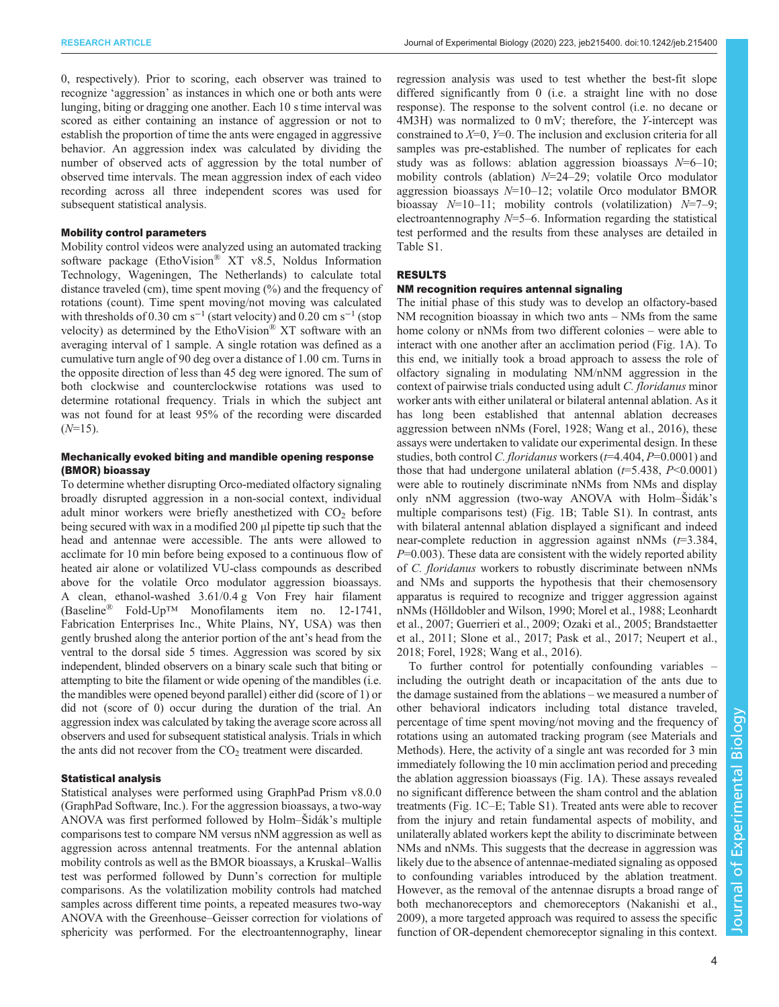0, respectively). Prior to scoring, each observer was trained to recognize 'aggression' as instances in which one or both ants were lunging, biting or dragging one another. Each 10 s time interval was scored as either containing an instance of aggression or not to establish the proportion of time the ants were engaged in aggressive behavior. An aggression index was calculated by dividing the number of observed acts of aggression by the total number of observed time intervals. The mean aggression index of each video recording across all three independent scores was used for subsequent statistical analysis.

# Mobility control parameters

Mobility control videos were analyzed using an automated tracking software package (EthoVision® XT v8.5, Noldus Information Technology, Wageningen, The Netherlands) to calculate total distance traveled (cm), time spent moving (%) and the frequency of rotations (count). Time spent moving/not moving was calculated with thresholds of 0.30 cm s<sup>-1</sup> (start velocity) and 0.20 cm s<sup>-1</sup> (stop velocity) as determined by the EthoVision® XT software with an averaging interval of 1 sample. A single rotation was defined as a cumulative turn angle of 90 deg over a distance of 1.00 cm. Turns in the opposite direction of less than 45 deg were ignored. The sum of both clockwise and counterclockwise rotations was used to determine rotational frequency. Trials in which the subject ant was not found for at least 95% of the recording were discarded  $(N=15)$ .

## Mechanically evoked biting and mandible opening response (BMOR) bioassay

To determine whether disrupting Orco-mediated olfactory signaling broadly disrupted aggression in a non-social context, individual adult minor workers were briefly anesthetized with  $CO<sub>2</sub>$  before being secured with wax in a modified 200 µl pipette tip such that the head and antennae were accessible. The ants were allowed to acclimate for 10 min before being exposed to a continuous flow of heated air alone or volatilized VU-class compounds as described above for the volatile Orco modulator aggression bioassays. A clean, ethanol-washed 3.61/0.4 g Von Frey hair filament (Baseline® Fold-Up™ Monofilaments item no. 12-1741, Fabrication Enterprises Inc., White Plains, NY, USA) was then gently brushed along the anterior portion of the ant's head from the ventral to the dorsal side 5 times. Aggression was scored by six independent, blinded observers on a binary scale such that biting or attempting to bite the filament or wide opening of the mandibles (i.e. the mandibles were opened beyond parallel) either did (score of 1) or did not (score of 0) occur during the duration of the trial. An aggression index was calculated by taking the average score across all observers and used for subsequent statistical analysis. Trials in which the ants did not recover from the  $CO<sub>2</sub>$  treatment were discarded.

#### Statistical analysis

Statistical analyses were performed using GraphPad Prism v8.0.0 (GraphPad Software, Inc.). For the aggression bioassays, a two-way ANOVA was first performed followed by Holm–Šidák's multiple comparisons test to compare NM versus nNM aggression as well as aggression across antennal treatments. For the antennal ablation mobility controls as well as the BMOR bioassays, a Kruskal–Wallis test was performed followed by Dunn's correction for multiple comparisons. As the volatilization mobility controls had matched samples across different time points, a repeated measures two-way ANOVA with the Greenhouse–Geisser correction for violations of sphericity was performed. For the electroantennography, linear

regression analysis was used to test whether the best-fit slope differed significantly from 0 (i.e. a straight line with no dose response). The response to the solvent control (i.e. no decane or 4M3H) was normalized to 0 mV; therefore, the Y-intercept was constrained to  $X=0$ ,  $Y=0$ . The inclusion and exclusion criteria for all samples was pre-established. The number of replicates for each study was as follows: ablation aggression bioassays  $N=6$ –10; mobility controls (ablation)  $N=24-29$ ; volatile Orco modulator aggression bioassays  $N=10-12$ ; volatile Orco modulator BMOR bioassay  $N=10-11$ ; mobility controls (volatilization)  $N=7-9$ ; electroantennography  $N=5-6$ . Information regarding the statistical test performed and the results from these analyses are detailed in [Table S1.](http://jeb.biologists.org/lookup/doi/10.1242/jeb.215400.supplemental)

# RESULTS

#### NM recognition requires antennal signaling

The initial phase of this study was to develop an olfactory-based NM recognition bioassay in which two ants – NMs from the same home colony or nNMs from two different colonies – were able to interact with one another after an acclimation period [\(Fig. 1A](#page-4-0)). To this end, we initially took a broad approach to assess the role of olfactory signaling in modulating NM/nNM aggression in the context of pairwise trials conducted using adult C. floridanus minor worker ants with either unilateral or bilateral antennal ablation. As it has long been established that antennal ablation decreases aggression between nNMs ([Forel, 1928;](#page-7-0) [Wang et al., 2016](#page-8-0)), these assays were undertaken to validate our experimental design. In these studies, both control C. floridanus workers ( $t=4.404$ ,  $P=0.0001$ ) and those that had undergone unilateral ablation  $(t=5.438, P<0.0001)$ were able to routinely discriminate nNMs from NMs and display only nNM aggression (two-way ANOVA with Holm–Šidák's multiple comparisons test) [\(Fig. 1B](#page-4-0); [Table S1](http://jeb.biologists.org/lookup/doi/10.1242/jeb.215400.supplemental)). In contrast, ants with bilateral antennal ablation displayed a significant and indeed near-complete reduction in aggression against nNMs  $(t=3.384,$  $P=0.003$ ). These data are consistent with the widely reported ability of C. floridanus workers to robustly discriminate between nNMs and NMs and supports the hypothesis that their chemosensory apparatus is required to recognize and trigger aggression against nNMs ([Hölldobler and Wilson, 1990; Morel et al., 1988; Leonhardt](#page-8-0) [et al., 2007; Guerrieri et al., 2009; Ozaki et al., 2005](#page-8-0); [Brandstaetter](#page-7-0) [et al., 2011](#page-7-0); [Slone et al., 2017](#page-8-0); [Pask et al., 2017](#page-8-0); [Neupert et al.,](#page-8-0) [2018;](#page-8-0) [Forel, 1928;](#page-7-0) [Wang et al., 2016](#page-8-0)).

To further control for potentially confounding variables – including the outright death or incapacitation of the ants due to the damage sustained from the ablations – we measured a number of other behavioral indicators including total distance traveled, percentage of time spent moving/not moving and the frequency of rotations using an automated tracking program (see Materials and Methods). Here, the activity of a single ant was recorded for 3 min immediately following the 10 min acclimation period and preceding the ablation aggression bioassays ([Fig. 1A](#page-4-0)). These assays revealed no significant difference between the sham control and the ablation treatments ([Fig. 1](#page-4-0)C–E; [Table S1](http://jeb.biologists.org/lookup/doi/10.1242/jeb.215400.supplemental)). Treated ants were able to recover from the injury and retain fundamental aspects of mobility, and unilaterally ablated workers kept the ability to discriminate between NMs and nNMs. This suggests that the decrease in aggression was likely due to the absence of antennae-mediated signaling as opposed to confounding variables introduced by the ablation treatment. However, as the removal of the antennae disrupts a broad range of both mechanoreceptors and chemoreceptors [\(Nakanishi et al.,](#page-8-0) [2009\)](#page-8-0), a more targeted approach was required to assess the specific function of OR-dependent chemoreceptor signaling in this context.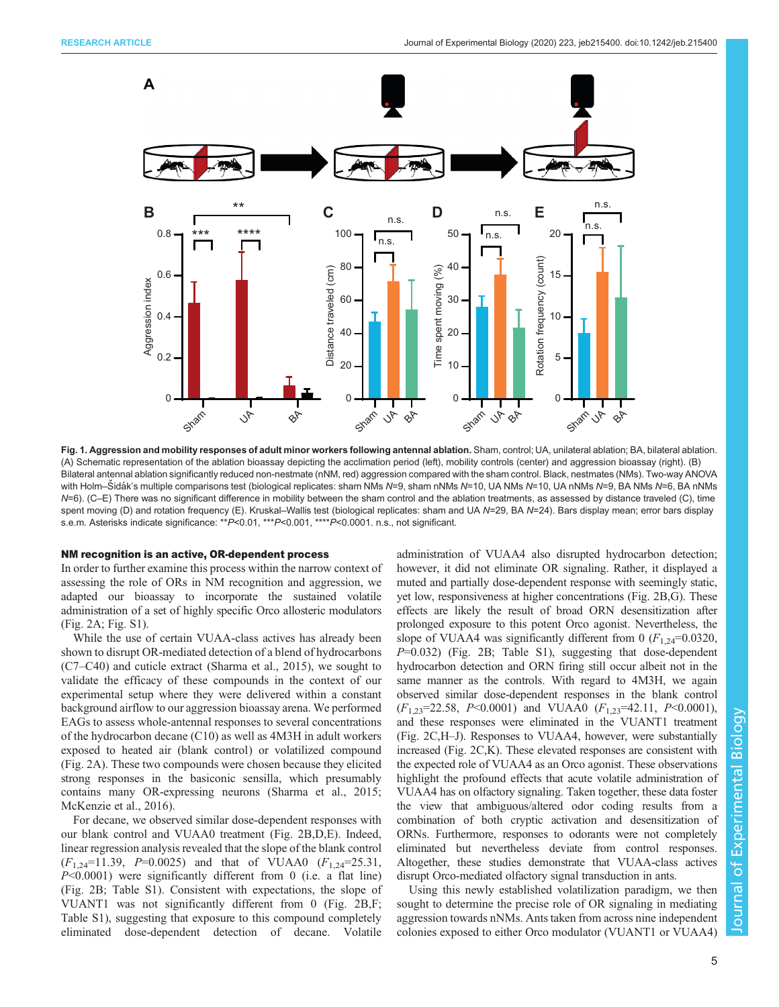<span id="page-4-0"></span>

Fig. 1. Aggression and mobility responses of adult minor workers following antennal ablation. Sham, control; UA, unilateral ablation; BA, bilateral ablation. (A) Schematic representation of the ablation bioassay depicting the acclimation period (left), mobility controls (center) and aggression bioassay (right). (B) Bilateral antennal ablation significantly reduced non-nestmate (nNM, red) aggression compared with the sham control. Black, nestmates (NMs). Two-way ANOVA with Holm–Šidák's multiple comparisons test (biological replicates: sham NMs N=9, sham nNMs N=10, UA nMs N=10, UA nNMs N=9, BA NMs N=6, BA nNMs N=6). (C–E) There was no significant difference in mobility between the sham control and the ablation treatments, as assessed by distance traveled (C), time spent moving (D) and rotation frequency (E). Kruskal–Wallis test (biological replicates: sham and UA N=29, BA N=24). Bars display mean; error bars display s.e.m. Asterisks indicate significance: \*\*P<0.01, \*\*\*P<0.001, \*\*\*\*P<0.0001. n.s., not significant.

#### NM recognition is an active, OR-dependent process

In order to further examine this process within the narrow context of assessing the role of ORs in NM recognition and aggression, we adapted our bioassay to incorporate the sustained volatile administration of a set of highly specific Orco allosteric modulators [\(Fig. 2A](#page-5-0); [Fig. S1\)](http://jeb.biologists.org/lookup/doi/10.1242/jeb.215400.supplemental).

While the use of certain VUAA-class actives has already been shown to disrupt OR-mediated detection of a blend of hydrocarbons (C7–C40) and cuticle extract ([Sharma et al., 2015\)](#page-8-0), we sought to validate the efficacy of these compounds in the context of our experimental setup where they were delivered within a constant background airflow to our aggression bioassay arena. We performed EAGs to assess whole-antennal responses to several concentrations of the hydrocarbon decane (C10) as well as 4M3H in adult workers exposed to heated air (blank control) or volatilized compound [\(Fig. 2A](#page-5-0)). These two compounds were chosen because they elicited strong responses in the basiconic sensilla, which presumably contains many OR-expressing neurons [\(Sharma et al., 2015](#page-8-0); [McKenzie et al., 2016](#page-8-0)).

For decane, we observed similar dose-dependent responses with our blank control and VUAA0 treatment [\(Fig. 2B](#page-5-0),D,E). Indeed, linear regression analysis revealed that the slope of the blank control  $(F_{1,24}=11.39, P=0.0025)$  and that of VUAA0  $(F_{1,24}=25.31,$  $P<0.0001$ ) were significantly different from 0 (i.e. a flat line) [\(Fig. 2](#page-5-0)B; [Table S1\)](http://jeb.biologists.org/lookup/doi/10.1242/jeb.215400.supplemental). Consistent with expectations, the slope of VUANT1 was not significantly different from 0 ([Fig. 2](#page-5-0)B,F; [Table S1](http://jeb.biologists.org/lookup/doi/10.1242/jeb.215400.supplemental)), suggesting that exposure to this compound completely eliminated dose-dependent detection of decane. Volatile

administration of VUAA4 also disrupted hydrocarbon detection; however, it did not eliminate OR signaling. Rather, it displayed a muted and partially dose-dependent response with seemingly static, yet low, responsiveness at higher concentrations [\(Fig. 2B](#page-5-0),G). These effects are likely the result of broad ORN desensitization after prolonged exposure to this potent Orco agonist. Nevertheless, the slope of VUAA4 was significantly different from 0  $(F_{1,24}=0.0320)$ ,  $P=0.032$ ) [\(Fig. 2](#page-5-0)B; [Table S1\)](http://jeb.biologists.org/lookup/doi/10.1242/jeb.215400.supplemental), suggesting that dose-dependent hydrocarbon detection and ORN firing still occur albeit not in the same manner as the controls. With regard to 4M3H, we again observed similar dose-dependent responses in the blank control  $(F_{1,23}=22.58, P<0.0001)$  and VUAA0  $(F_{1,23}=42.11, P<0.0001)$ , and these responses were eliminated in the VUANT1 treatment [\(Fig. 2C](#page-5-0),H–J). Responses to VUAA4, however, were substantially increased [\(Fig. 2](#page-5-0)C,K). These elevated responses are consistent with the expected role of VUAA4 as an Orco agonist. These observations highlight the profound effects that acute volatile administration of VUAA4 has on olfactory signaling. Taken together, these data foster the view that ambiguous/altered odor coding results from a combination of both cryptic activation and desensitization of ORNs. Furthermore, responses to odorants were not completely eliminated but nevertheless deviate from control responses. Altogether, these studies demonstrate that VUAA-class actives disrupt Orco-mediated olfactory signal transduction in ants.

Using this newly established volatilization paradigm, we then sought to determine the precise role of OR signaling in mediating aggression towards nNMs. Ants taken from across nine independent colonies exposed to either Orco modulator (VUANT1 or VUAA4)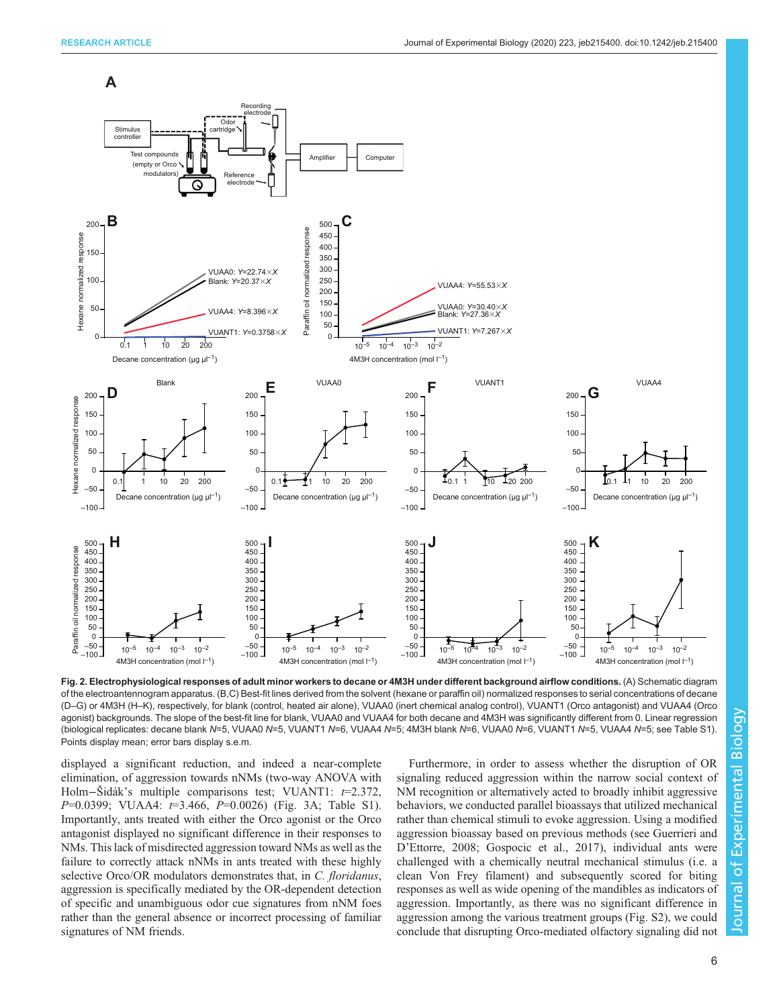**A**

<span id="page-5-0"></span>

Fig. 2. Electrophysiological responses of adult minor workers to decane or 4M3H under different background airflow conditions. (A) Schematic diagram of the electroantennogram apparatus. (B,C) Best-fit lines derived from the solvent (hexane or paraffin oil) normalized responses to serial concentrations of decane (D–G) or 4M3H (H–K), respectively, for blank (control, heated air alone), VUAA0 (inert chemical analog control), VUANT1 (Orco antagonist) and VUAA4 (Orco agonist) backgrounds. The slope of the best-fit line for blank, VUAA0 and VUAA4 for both decane and 4M3H was significantly different from 0. Linear regression (biological replicates: decane blank N=5, VUAA0 N=5, VUANT1 N=6, VUAA4 N=5; 4M3H blank N=6, VUAA0 N=6, VUANT1 N=5, VUAA4 N=5; see [Table S1\)](http://jeb.biologists.org/lookup/doi/10.1242/jeb.215400.supplemental). Points display mean; error bars display s.e.m.

displayed a significant reduction, and indeed a near-complete elimination, of aggression towards nNMs (two-way ANOVA with Holm−Šidák's multiple comparisons test; VUANT1: t=2.372,  $P=0.0399$ ; VUAA4:  $t=3.466$ ,  $P=0.0026$ ) ([Fig. 3](#page-6-0)A; [Table S1\)](http://jeb.biologists.org/lookup/doi/10.1242/jeb.215400.supplemental). Importantly, ants treated with either the Orco agonist or the Orco antagonist displayed no significant difference in their responses to NMs. This lack of misdirected aggression toward NMs as well as the failure to correctly attack nNMs in ants treated with these highly selective Orco/OR modulators demonstrates that, in C. floridanus, aggression is specifically mediated by the OR-dependent detection of specific and unambiguous odor cue signatures from nNM foes rather than the general absence or incorrect processing of familiar signatures of NM friends.

Furthermore, in order to assess whether the disruption of OR signaling reduced aggression within the narrow social context of NM recognition or alternatively acted to broadly inhibit aggressive behaviors, we conducted parallel bioassays that utilized mechanical rather than chemical stimuli to evoke aggression. Using a modified aggression bioassay based on previous methods (see [Guerrieri and](#page-8-0) D'[Ettorre, 2008](#page-8-0); [Gospocic et al., 2017](#page-8-0)), individual ants were challenged with a chemically neutral mechanical stimulus (i.e. a clean Von Frey filament) and subsequently scored for biting responses as well as wide opening of the mandibles as indicators of aggression. Importantly, as there was no significant difference in aggression among the various treatment groups ([Fig. S2\)](http://jeb.biologists.org/lookup/doi/10.1242/jeb.215400.supplemental), we could conclude that disrupting Orco-mediated olfactory signaling did not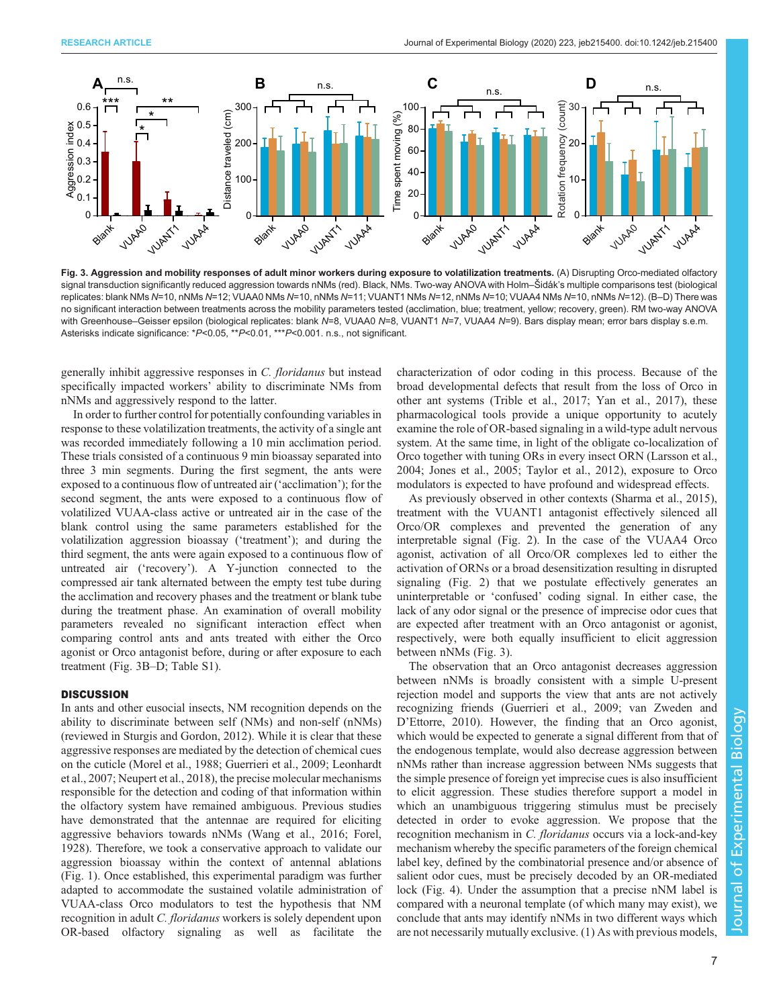<span id="page-6-0"></span>

Fig. 3. Aggression and mobility responses of adult minor workers during exposure to volatilization treatments. (A) Disrupting Orco-mediated olfactory signal transduction significantly reduced aggression towards nNMs (red). Black, NMs. Two-way ANOVA with Holm–Šidák's multiple comparisons test (biological replicates: blank NMs N=10, nNMs N=12; VUAA0 NMs N=10, nNMs N=11; VUANT1 NMs N=12, nNMs N=10; VUAA4 NMs N=10, nNMs N=10. (B-D) There was no significant interaction between treatments across the mobility parameters tested (acclimation, blue; treatment, yellow; recovery, green). RM two-way ANOVA with Greenhouse–Geisser epsilon (biological replicates: blank N=8, VUAA0 N=8, VUANT1 N=7, VUAA4 N=9). Bars display mean; error bars display s.e.m. Asterisks indicate significance: \*P<0.05, \*\*P<0.01, \*\*\*P<0.001. n.s., not significant.

generally inhibit aggressive responses in C. floridanus but instead specifically impacted workers' ability to discriminate NMs from nNMs and aggressively respond to the latter.

In order to further control for potentially confounding variables in response to these volatilization treatments, the activity of a single ant was recorded immediately following a 10 min acclimation period. These trials consisted of a continuous 9 min bioassay separated into three 3 min segments. During the first segment, the ants were exposed to a continuous flow of untreated air ('acclimation'); for the second segment, the ants were exposed to a continuous flow of volatilized VUAA-class active or untreated air in the case of the blank control using the same parameters established for the volatilization aggression bioassay ('treatment'); and during the third segment, the ants were again exposed to a continuous flow of untreated air ('recovery'). A Y-junction connected to the compressed air tank alternated between the empty test tube during the acclimation and recovery phases and the treatment or blank tube during the treatment phase. An examination of overall mobility parameters revealed no significant interaction effect when comparing control ants and ants treated with either the Orco agonist or Orco antagonist before, during or after exposure to each treatment (Fig. 3B–D; [Table S1\)](http://jeb.biologists.org/lookup/doi/10.1242/jeb.215400.supplemental).

#### **DISCUSSION**

In ants and other eusocial insects, NM recognition depends on the ability to discriminate between self (NMs) and non-self (nNMs) (reviewed in [Sturgis and Gordon, 2012\)](#page-8-0). While it is clear that these aggressive responses are mediated by the detection of chemical cues on the cuticle ([Morel et al., 1988](#page-8-0); [Guerrieri et al., 2009](#page-8-0); [Leonhardt](#page-8-0) [et al., 2007; Neupert et al., 2018\)](#page-8-0), the precise molecular mechanisms responsible for the detection and coding of that information within the olfactory system have remained ambiguous. Previous studies have demonstrated that the antennae are required for eliciting aggressive behaviors towards nNMs ([Wang et al., 2016](#page-8-0); [Forel,](#page-7-0) [1928](#page-7-0)). Therefore, we took a conservative approach to validate our aggression bioassay within the context of antennal ablations [\(Fig. 1\)](#page-4-0). Once established, this experimental paradigm was further adapted to accommodate the sustained volatile administration of VUAA-class Orco modulators to test the hypothesis that NM recognition in adult C. floridanus workers is solely dependent upon OR-based olfactory signaling as well as facilitate the

characterization of odor coding in this process. Because of the broad developmental defects that result from the loss of Orco in other ant systems [\(Trible et al., 2017;](#page-8-0) [Yan et al., 2017\)](#page-9-0), these pharmacological tools provide a unique opportunity to acutely examine the role of OR-based signaling in a wild-type adult nervous system. At the same time, in light of the obligate co-localization of Orco together with tuning ORs in every insect ORN ([Larsson et al.,](#page-8-0) [2004; Jones et al., 2005](#page-8-0); [Taylor et al., 2012](#page-8-0)), exposure to Orco modulators is expected to have profound and widespread effects.

As previously observed in other contexts ([Sharma et al., 2015\)](#page-8-0), treatment with the VUANT1 antagonist effectively silenced all Orco/OR complexes and prevented the generation of any interpretable signal [\(Fig. 2](#page-5-0)). In the case of the VUAA4 Orco agonist, activation of all Orco/OR complexes led to either the activation of ORNs or a broad desensitization resulting in disrupted signaling ([Fig. 2\)](#page-5-0) that we postulate effectively generates an uninterpretable or 'confused' coding signal. In either case, the lack of any odor signal or the presence of imprecise odor cues that are expected after treatment with an Orco antagonist or agonist, respectively, were both equally insufficient to elicit aggression between nNMs (Fig. 3).

The observation that an Orco antagonist decreases aggression between nNMs is broadly consistent with a simple U-present rejection model and supports the view that ants are not actively recognizing friends [\(Guerrieri et al., 2009](#page-8-0); [van Zweden and](#page-8-0) D'[Ettorre, 2010\)](#page-8-0). However, the finding that an Orco agonist, which would be expected to generate a signal different from that of the endogenous template, would also decrease aggression between nNMs rather than increase aggression between NMs suggests that the simple presence of foreign yet imprecise cues is also insufficient to elicit aggression. These studies therefore support a model in which an unambiguous triggering stimulus must be precisely detected in order to evoke aggression. We propose that the recognition mechanism in C. floridanus occurs via a lock-and-key mechanism whereby the specific parameters of the foreign chemical label key, defined by the combinatorial presence and/or absence of salient odor cues, must be precisely decoded by an OR-mediated lock ([Fig. 4](#page-7-0)). Under the assumption that a precise nNM label is compared with a neuronal template (of which many may exist), we conclude that ants may identify nNMs in two different ways which are not necessarily mutually exclusive. (1) As with previous models,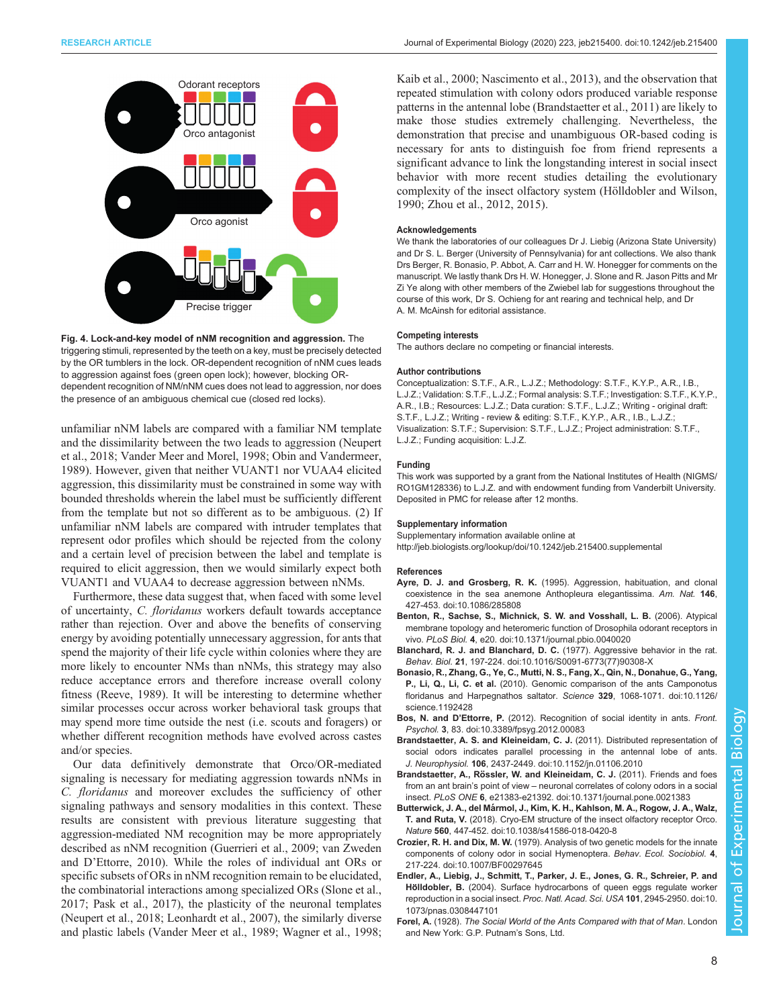<span id="page-7-0"></span>

Fig. 4. Lock-and-key model of nNM recognition and aggression. The triggering stimuli, represented by the teeth on a key, must be precisely detected by the OR tumblers in the lock. OR-dependent recognition of nNM cues leads to aggression against foes (green open lock); however, blocking ORdependent recognition of NM/nNM cues does not lead to aggression, nor does the presence of an ambiguous chemical cue (closed red locks).

unfamiliar nNM labels are compared with a familiar NM template and the dissimilarity between the two leads to aggression ([Neupert](#page-8-0) [et al., 2018; Vander Meer and Morel, 1998](#page-8-0); [Obin and Vandermeer,](#page-8-0) [1989](#page-8-0)). However, given that neither VUANT1 nor VUAA4 elicited aggression, this dissimilarity must be constrained in some way with bounded thresholds wherein the label must be sufficiently different from the template but not so different as to be ambiguous. (2) If unfamiliar nNM labels are compared with intruder templates that represent odor profiles which should be rejected from the colony and a certain level of precision between the label and template is required to elicit aggression, then we would similarly expect both VUANT1 and VUAA4 to decrease aggression between nNMs.

Furthermore, these data suggest that, when faced with some level of uncertainty, C. floridanus workers default towards acceptance rather than rejection. Over and above the benefits of conserving energy by avoiding potentially unnecessary aggression, for ants that spend the majority of their life cycle within colonies where they are more likely to encounter NMs than nNMs, this strategy may also reduce acceptance errors and therefore increase overall colony fitness ([Reeve, 1989\)](#page-8-0). It will be interesting to determine whether similar processes occur across worker behavioral task groups that may spend more time outside the nest (i.e. scouts and foragers) or whether different recognition methods have evolved across castes and/or species.

Our data definitively demonstrate that Orco/OR-mediated signaling is necessary for mediating aggression towards nNMs in C. floridanus and moreover excludes the sufficiency of other signaling pathways and sensory modalities in this context. These results are consistent with previous literature suggesting that aggression-mediated NM recognition may be more appropriately described as nNM recognition [\(Guerrieri et al., 2009](#page-8-0); [van Zweden](#page-8-0) and D'[Ettorre, 2010\)](#page-8-0). While the roles of individual ant ORs or specific subsets of ORs in nNM recognition remain to be elucidated, the combinatorial interactions among specialized ORs ([Slone et al.,](#page-8-0) [2017](#page-8-0); [Pask et al., 2017](#page-8-0)), the plasticity of the neuronal templates [\(Neupert et al., 2018](#page-8-0); [Leonhardt et al., 2007](#page-8-0)), the similarly diverse and plastic labels ([Vander Meer et al., 1989](#page-8-0); [Wagner et al., 1998](#page-8-0);

[Kaib et al., 2000; Nascimento et al., 2013](#page-8-0)), and the observation that repeated stimulation with colony odors produced variable response patterns in the antennal lobe (Brandstaetter et al., 2011) are likely to make those studies extremely challenging. Nevertheless, the demonstration that precise and unambiguous OR-based coding is necessary for ants to distinguish foe from friend represents a significant advance to link the longstanding interest in social insect behavior with more recent studies detailing the evolutionary complexity of the insect olfactory system ([Hölldobler and Wilson,](#page-8-0) [1990;](#page-8-0) [Zhou et al., 2012, 2015\)](#page-9-0).

#### Acknowledgements

We thank the laboratories of our colleagues Dr J. Liebig (Arizona State University) and Dr S. L. Berger (University of Pennsylvania) for ant collections. We also thank Drs Berger, R. Bonasio, P. Abbot, A. Carr and H. W. Honegger for comments on the manuscript. We lastly thank Drs H. W. Honegger, J. Slone and R. Jason Pitts and Mr Zi Ye along with other members of the Zwiebel lab for suggestions throughout the course of this work, Dr S. Ochieng for ant rearing and technical help, and Dr A. M. McAinsh for editorial assistance.

#### Competing interests

The authors declare no competing or financial interests.

#### Author contributions

Conceptualization: S.T.F., A.R., L.J.Z.; Methodology: S.T.F., K.Y.P., A.R., I.B., L.J.Z.; Validation: S.T.F., L.J.Z.; Formal analysis: S.T.F.; Investigation: S.T.F., K.Y.P., A.R., I.B.; Resources: L.J.Z.; Data curation: S.T.F., L.J.Z.; Writing - original draft: S.T.F., L.J.Z.; Writing - review & editing: S.T.F., K.Y.P., A.R., I.B., L.J.Z.; Visualization: S.T.F.; Supervision: S.T.F., L.J.Z.; Project administration: S.T.F., L.J.Z.; Funding acquisition: L.J.Z.

#### Funding

This work was supported by a grant from the National Institutes of Health (NIGMS/ RO1GM128336) to L.J.Z. and with endowment funding from Vanderbilt University. Deposited in PMC for release after 12 months.

#### Supplementary information

Supplementary information available online at <http://jeb.biologists.org/lookup/doi/10.1242/jeb.215400.supplemental>

#### References

- Ayre, D. J. and Grosberg, R. K. [\(1995\). Aggression, habituation, and clonal](https://doi.org/10.1086/285808) [coexistence in the sea anemone Anthopleura elegantissima.](https://doi.org/10.1086/285808) Am. Nat. 146, [427-453. doi:10.1086/285808](https://doi.org/10.1086/285808)
- [Benton, R., Sachse, S., Michnick, S. W. and Vosshall, L. B.](https://doi.org/10.1371/journal.pbio.0040020) (2006). Atypical [membrane topology and heteromeric function of Drosophila odorant receptors in](https://doi.org/10.1371/journal.pbio.0040020) vivo. PLoS Biol. 4[, e20. doi:10.1371/journal.pbio.0040020](https://doi.org/10.1371/journal.pbio.0040020)
- [Blanchard, R. J. and Blanchard, D. C.](https://doi.org/10.1016/S0091-6773(77)90308-X) (1977). Aggressive behavior in the rat. Behav. Biol. 21[, 197-224. doi:10.1016/S0091-6773\(77\)90308-X](https://doi.org/10.1016/S0091-6773(77)90308-X)
- [Bonasio, R., Zhang, G., Ye, C., Mutti, N. S., Fang, X., Qin, N., Donahue, G., Yang,](https://doi.org/10.1126/science.1192428) P., Li, Q., Li, C. et al. [\(2010\). Genomic comparison of the ants Camponotus](https://doi.org/10.1126/science.1192428) [floridanus and Harpegnathos saltator.](https://doi.org/10.1126/science.1192428) Science 329, 1068-1071. doi:10.1126/ [science.1192428](https://doi.org/10.1126/science.1192428)
- Bos, N. and D'Ettorre, P. [\(2012\). Recognition of social identity in ants.](https://doi.org/10.3389/fpsyg.2012.00083) Front. Psychol. 3[, 83. doi:10.3389/fpsyg.2012.00083](https://doi.org/10.3389/fpsyg.2012.00083)
- [Brandstaetter, A. S. and Kleineidam, C. J.](https://doi.org/10.1152/jn.01106.2010) (2011). Distributed representation of [social odors indicates parallel processing in the antennal lobe of ants.](https://doi.org/10.1152/jn.01106.2010) J. Neurophysiol. 106[, 2437-2449. doi:10.1152/jn.01106.2010](https://doi.org/10.1152/jn.01106.2010)
- Brandstaetter, A., Rö[ssler, W. and Kleineidam, C. J.](https://doi.org/10.1371/journal.pone.0021383) (2011). Friends and foes from an ant brain's point of view – [neuronal correlates of colony odors in a social](https://doi.org/10.1371/journal.pone.0021383) insect. PLoS ONE 6[, e21383-e21392. doi:10.1371/journal.pone.0021383](https://doi.org/10.1371/journal.pone.0021383)
- Butterwick, J. A., del Má[rmol, J., Kim, K. H., Kahlson, M. A., Rogow, J. A., Walz,](https://doi.org/10.1038/s41586-018-0420-8) T. and Ruta, V. [\(2018\). Cryo-EM structure of the insect olfactory receptor Orco.](https://doi.org/10.1038/s41586-018-0420-8) Nature 560[, 447-452. doi:10.1038/s41586-018-0420-8](https://doi.org/10.1038/s41586-018-0420-8)
- Crozier, R. H. and Dix, M. W. [\(1979\). Analysis of two genetic models for the innate](https://doi.org/10.1007/BF00297645) [components of colony odor in social Hymenoptera.](https://doi.org/10.1007/BF00297645) Behav. Ecol. Sociobiol. 4, [217-224. doi:10.1007/BF00297645](https://doi.org/10.1007/BF00297645)
- [Endler, A., Liebig, J., Schmitt, T., Parker, J. E., Jones, G. R., Schreier, P. and](https://doi.org/10.1073/pnas.0308447101) Hölldobler, B. [\(2004\). Surface hydrocarbons of queen eggs regulate worker](https://doi.org/10.1073/pnas.0308447101) [reproduction in a social insect.](https://doi.org/10.1073/pnas.0308447101) Proc. Natl. Acad. Sci. USA 101, 2945-2950. doi:10. [1073/pnas.0308447101](https://doi.org/10.1073/pnas.0308447101)
- Forel, A. (1928). The Social World of the Ants Compared with that of Man. London and New York: G.P. Putnam's Sons, Ltd.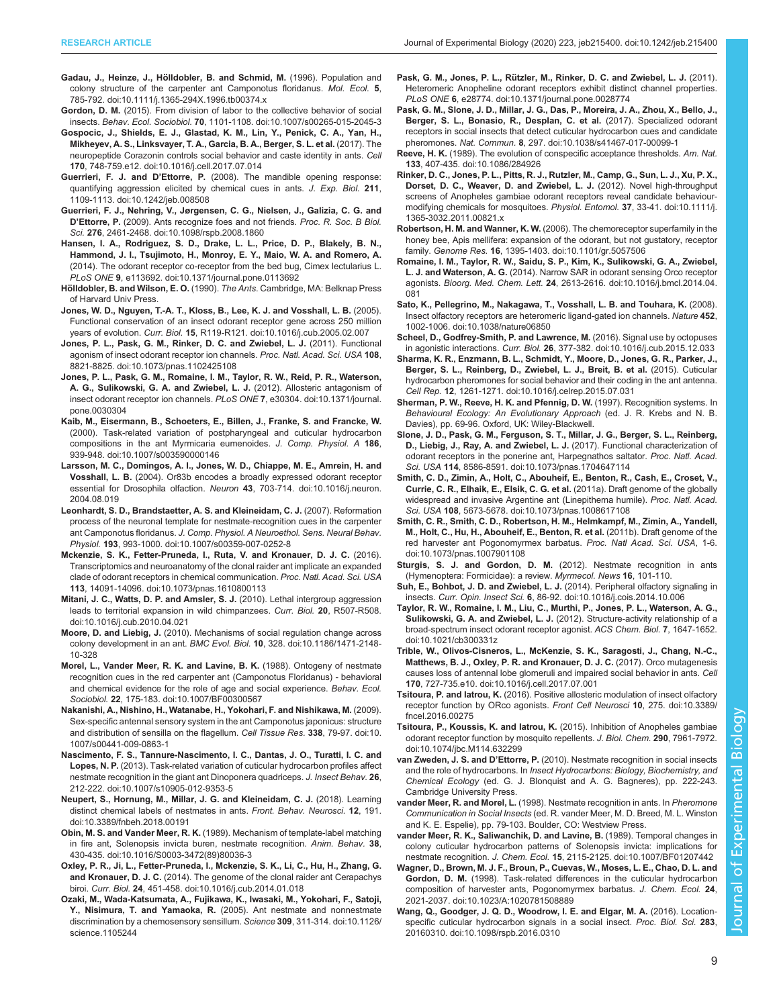- <span id="page-8-0"></span>Gadau, J., Heinze, J., Hö[lldobler, B. and Schmid, M.](https://doi.org/10.1111/j.1365-294X.1996.tb00374.x) (1996). Population and [colony structure of the carpenter ant Camponotus floridanus.](https://doi.org/10.1111/j.1365-294X.1996.tb00374.x) Mol. Ecol. 5, [785-792. doi:10.1111/j.1365-294X.1996.tb00374.x](https://doi.org/10.1111/j.1365-294X.1996.tb00374.x)
- Gordon, D. M. [\(2015\). From division of labor to the collective behavior of social](https://doi.org/10.1007/s00265-015-2045-3) insects. Behav. Ecol. Sociobiol. 70[, 1101-1108. doi:10.1007/s00265-015-2045-3](https://doi.org/10.1007/s00265-015-2045-3)
- [Gospocic, J., Shields, E. J., Glastad, K. M., Lin, Y., Penick, C. A., Yan, H.,](https://doi.org/10.1016/j.cell.2017.07.014) [Mikheyev, A. S., Linksvayer, T. A., Garcia, B. A., Berger, S. L. et al.](https://doi.org/10.1016/j.cell.2017.07.014) (2017). The [neuropeptide Corazonin controls social behavior and caste identity in ants.](https://doi.org/10.1016/j.cell.2017.07.014) Cell 170[, 748-759.e12. doi:10.1016/j.cell.2017.07.014](https://doi.org/10.1016/j.cell.2017.07.014)
- Guerrieri, F. J. and D'Ettorre, P. [\(2008\). The mandible opening response:](https://doi.org/10.1242/jeb.008508) [quantifying aggression elicited by chemical cues in ants.](https://doi.org/10.1242/jeb.008508) J. Exp. Biol. 211. [1109-1113. doi:10.1242/jeb.008508](https://doi.org/10.1242/jeb.008508)
- [Guerrieri, F. J., Nehring, V., Jørgensen, C. G., Nielsen, J., Galizia, C. G. and](https://doi.org/10.1098/rspb.2008.1860) D'Ettorre, P. [\(2009\). Ants recognize foes and not friends.](https://doi.org/10.1098/rspb.2008.1860) Proc. R. Soc. B Biol. Sci. 276[, 2461-2468. doi:10.1098/rspb.2008.1860](https://doi.org/10.1098/rspb.2008.1860)
- [Hansen, I. A., Rodriguez, S. D., Drake, L. L., Price, D. P., Blakely, B. N.,](https://doi.org/10.1371/journal.pone.0113692) [Hammond, J. I., Tsujimoto, H., Monroy, E. Y., Maio, W. A. and Romero, A.](https://doi.org/10.1371/journal.pone.0113692) [\(2014\). The odorant receptor co-receptor from the bed bug, Cimex lectularius L.](https://doi.org/10.1371/journal.pone.0113692) PLoS ONE 9[, e113692. doi:10.1371/journal.pone.0113692](https://doi.org/10.1371/journal.pone.0113692)
- Hölldobler, B. and Wilson, E. O. (1990). The Ants. Cambridge, MA: Belknap Press of Harvard Univ Press.
- [Jones, W. D., Nguyen, T.-A. T., Kloss, B., Lee, K. J. and Vosshall, L. B.](https://doi.org/10.1016/j.cub.2005.02.007) (2005). [Functional conservation of an insect odorant receptor gene across 250 million](https://doi.org/10.1016/j.cub.2005.02.007) years of evolution. Curr. Biol. 15[, R119-R121. doi:10.1016/j.cub.2005.02.007](https://doi.org/10.1016/j.cub.2005.02.007)
- [Jones, P. L., Pask, G. M., Rinker, D. C. and Zwiebel, L. J.](https://doi.org/10.1073/pnas.1102425108) (2011). Functional [agonism of insect odorant receptor ion channels.](https://doi.org/10.1073/pnas.1102425108) Proc. Natl. Acad. Sci. USA 108, [8821-8825. doi:10.1073/pnas.1102425108](https://doi.org/10.1073/pnas.1102425108)
- [Jones, P. L., Pask, G. M., Romaine, I. M., Taylor, R. W., Reid, P. R., Waterson,](https://doi.org/10.1371/journal.pone.0030304) [A. G., Sulikowski, G. A. and Zwiebel, L. J.](https://doi.org/10.1371/journal.pone.0030304) (2012). Allosteric antagonism of [insect odorant receptor ion channels.](https://doi.org/10.1371/journal.pone.0030304) PLoS ONE 7, e30304. doi:10.1371/journal. [pone.0030304](https://doi.org/10.1371/journal.pone.0030304)
- [Kaib, M., Eisermann, B., Schoeters, E., Billen, J., Franke, S. and Francke, W.](https://doi.org/10.1007/s003590000146) [\(2000\). Task-related variation of postpharyngeal and cuticular hydrocarbon](https://doi.org/10.1007/s003590000146) [compositions in the ant Myrmicaria eumenoides.](https://doi.org/10.1007/s003590000146) J. Comp. Physiol. A 186, [939-948. doi:10.1007/s003590000146](https://doi.org/10.1007/s003590000146)
- [Larsson, M. C., Domingos, A. I., Jones, W. D., Chiappe, M. E., Amrein, H. and](https://doi.org/10.1016/j.neuron.2004.08.019) Vosshall, L. B. [\(2004\). Or83b encodes a broadly expressed odorant receptor](https://doi.org/10.1016/j.neuron.2004.08.019) [essential for Drosophila olfaction.](https://doi.org/10.1016/j.neuron.2004.08.019) Neuron 43, 703-714. doi:10.1016/j.neuron. [2004.08.019](https://doi.org/10.1016/j.neuron.2004.08.019)
- [Leonhardt, S. D., Brandstaetter, A. S. and Kleineidam, C. J.](https://doi.org/10.1007/s00359-007-0252-8) (2007). Reformation [process of the neuronal template for nestmate-recognition cues in the carpenter](https://doi.org/10.1007/s00359-007-0252-8) ant Camponotus floridanus. [J. Comp. Physiol. A Neuroethol. Sens. Neural Behav.](https://doi.org/10.1007/s00359-007-0252-8) Physiol. 193[, 993-1000. doi:10.1007/s00359-007-0252-8](https://doi.org/10.1007/s00359-007-0252-8)
- [Mckenzie, S. K., Fetter-Pruneda, I., Ruta, V. and Kronauer, D. J. C.](https://doi.org/10.1073/pnas.1610800113) (2016). [Transcriptomics and neuroanatomy of the clonal raider ant implicate an expanded](https://doi.org/10.1073/pnas.1610800113) [clade of odorant receptors in chemical communication.](https://doi.org/10.1073/pnas.1610800113) Proc. Natl. Acad. Sci. USA 113[, 14091-14096. doi:10.1073/pnas.1610800113](https://doi.org/10.1073/pnas.1610800113)
- [Mitani, J. C., Watts, D. P. and Amsler, S. J.](https://doi.org/10.1016/j.cub.2010.04.021) (2010). Lethal intergroup aggression [leads to territorial expansion in wild chimpanzees.](https://doi.org/10.1016/j.cub.2010.04.021) Curr. Biol. 20, R507-R508. [doi:10.1016/j.cub.2010.04.021](https://doi.org/10.1016/j.cub.2010.04.021)
- Moore, D. and Liebig, J. [\(2010\). Mechanisms of social regulation change across](https://doi.org/10.1186/1471-2148-10-328) colony development in an ant. BMC Evol. Biol. 10[, 328. doi:10.1186/1471-2148-](https://doi.org/10.1186/1471-2148-10-328) [10-328](https://doi.org/10.1186/1471-2148-10-328)
- [Morel, L., Vander Meer, R. K. and Lavine, B. K.](https://doi.org/10.1007/BF00300567) (1988). Ontogeny of nestmate [recognition cues in the red carpenter ant \(Camponotus Floridanus\) - behavioral](https://doi.org/10.1007/BF00300567) [and chemical evidence for the role of age and social experience.](https://doi.org/10.1007/BF00300567) Behav. Ecol. Sociobiol. 22[, 175-183. doi:10.1007/BF00300567](https://doi.org/10.1007/BF00300567)
- [Nakanishi, A., Nishino, H., Watanabe, H., Yokohari, F. and Nishikawa, M.](https://doi.org/10.1007/s00441-009-0863-1) (2009). [Sex-specific antennal sensory system in the ant Camponotus japonicus: structure](https://doi.org/10.1007/s00441-009-0863-1) [and distribution of sensilla on the flagellum.](https://doi.org/10.1007/s00441-009-0863-1) Cell Tissue Res. 338, 79-97. doi:10. [1007/s00441-009-0863-1](https://doi.org/10.1007/s00441-009-0863-1)
- [Nascimento, F. S., Tannure-Nascimento, I. C., Dantas, J. O., Turatti, I. C. and](https://doi.org/10.1007/s10905-012-9353-5) Lopes, N. P. [\(2013\). Task-related variation of cuticular hydrocarbon profiles affect](https://doi.org/10.1007/s10905-012-9353-5) [nestmate recognition in the giant ant Dinoponera quadriceps.](https://doi.org/10.1007/s10905-012-9353-5) J. Insect Behav. 26, [212-222. doi:10.1007/s10905-012-9353-5](https://doi.org/10.1007/s10905-012-9353-5)
- [Neupert, S., Hornung, M., Millar, J. G. and Kleineidam, C. J.](https://doi.org/10.3389/fnbeh.2018.00191) (2018). Learning [distinct chemical labels of nestmates in ants.](https://doi.org/10.3389/fnbeh.2018.00191) Front. Behav. Neurosci. 12, 191. [doi:10.3389/fnbeh.2018.00191](https://doi.org/10.3389/fnbeh.2018.00191)
- Obin, M. S. and Vander Meer, R. K. [\(1989\). Mechanism of template-label matching](https://doi.org/10.1016/S0003-3472(89)80036-3) [in fire ant, Solenopsis invicta buren, nestmate recognition.](https://doi.org/10.1016/S0003-3472(89)80036-3) Anim. Behav. 38, [430-435. doi:10.1016/S0003-3472\(89\)80036-3](https://doi.org/10.1016/S0003-3472(89)80036-3)
- [Oxley, P. R., Ji, L., Fetter-Pruneda, I., Mckenzie, S. K., Li, C., Hu, H., Zhang, G.](https://doi.org/10.1016/j.cub.2014.01.018) and Kronauer, D. J. C. [\(2014\). The genome of the clonal raider ant Cerapachys](https://doi.org/10.1016/j.cub.2014.01.018) biroi. Curr. Biol. 24[, 451-458. doi:10.1016/j.cub.2014.01.018](https://doi.org/10.1016/j.cub.2014.01.018)
- [Ozaki, M., Wada-Katsumata, A., Fujikawa, K., Iwasaki, M., Yokohari, F., Satoji,](https://doi.org/10.1126/science.1105244) Y., Nisimura, T. and Yamaoka, R. [\(2005\). Ant nestmate and nonnestmate](https://doi.org/10.1126/science.1105244) [discrimination by a chemosensory sensillum.](https://doi.org/10.1126/science.1105244) Science 309, 311-314. doi:10.1126/ [science.1105244](https://doi.org/10.1126/science.1105244)
- Pask, G. M., Jones, P. L., Rü[tzler, M., Rinker, D. C. and Zwiebel, L. J.](https://doi.org/10.1371/journal.pone.0028774) (2011). [Heteromeric Anopheline odorant receptors exhibit distinct channel properties.](https://doi.org/10.1371/journal.pone.0028774) PLoS ONE 6[, e28774. doi:10.1371/journal.pone.0028774](https://doi.org/10.1371/journal.pone.0028774)
- [Pask, G. M., Slone, J. D., Millar, J. G., Das, P., Moreira, J. A., Zhou, X., Bello, J.,](https://doi.org/10.1038/s41467-017-00099-1) [Berger, S. L., Bonasio, R., Desplan, C. et al.](https://doi.org/10.1038/s41467-017-00099-1) (2017). Specialized odorant [receptors in social insects that detect cuticular hydrocarbon cues and candidate](https://doi.org/10.1038/s41467-017-00099-1) pheromones. Nat. Commun. 8[, 297. doi:10.1038/s41467-017-00099-1](https://doi.org/10.1038/s41467-017-00099-1)
- Reeve, H. K. [\(1989\). The evolution of conspecific acceptance thresholds.](https://doi.org/10.1086/284926) Am. Nat. 133[, 407-435. doi:10.1086/284926](https://doi.org/10.1086/284926)
- [Rinker, D. C., Jones, P. L., Pitts, R. J., Rutzler, M., Camp, G., Sun, L. J., Xu, P. X.,](https://doi.org/10.1111/j.1365-3032.2011.00821.x) [Dorset, D. C., Weaver, D. and Zwiebel, L. J.](https://doi.org/10.1111/j.1365-3032.2011.00821.x) (2012). Novel high-throughput [screens of Anopheles gambiae odorant receptors reveal candidate behaviour](https://doi.org/10.1111/j.1365-3032.2011.00821.x)[modifying chemicals for mosquitoes.](https://doi.org/10.1111/j.1365-3032.2011.00821.x) Physiol. Entomol. 37, 33-41. doi:10.1111/j. [1365-3032.2011.00821.x](https://doi.org/10.1111/j.1365-3032.2011.00821.x)
- Robertson, H. M. and Wanner, K. W. [\(2006\). The chemoreceptor superfamily in the](https://doi.org/10.1101/gr.5057506) [honey bee, Apis mellifera: expansion of the odorant, but not gustatory, receptor](https://doi.org/10.1101/gr.5057506) family. Genome Res. 16[, 1395-1403. doi:10.1101/gr.5057506](https://doi.org/10.1101/gr.5057506)
- [Romaine, I. M., Taylor, R. W., Saidu, S. P., Kim, K., Sulikowski, G. A., Zwiebel,](https://doi.org/10.1016/j.bmcl.2014.04.081) L. J. and Waterson, A. G. [\(2014\). Narrow SAR in odorant sensing Orco receptor](https://doi.org/10.1016/j.bmcl.2014.04.081) agonists. Bioorg. Med. Chem. Lett. 24[, 2613-2616. doi:10.1016/j.bmcl.2014.04.](https://doi.org/10.1016/j.bmcl.2014.04.081) [081](https://doi.org/10.1016/j.bmcl.2014.04.081)
- [Sato, K., Pellegrino, M., Nakagawa, T., Vosshall, L. B. and Touhara, K.](https://doi.org/10.1038/nature06850) (2008). [Insect olfactory receptors are heteromeric ligand-gated ion channels.](https://doi.org/10.1038/nature06850) Nature 452, [1002-1006. doi:10.1038/nature06850](https://doi.org/10.1038/nature06850)
- [Scheel, D., Godfrey-Smith, P. and Lawrence, M.](https://doi.org/10.1016/j.cub.2015.12.033) (2016). Signal use by octopuses in agonistic interactions. Curr. Biol. 26[, 377-382. doi:10.1016/j.cub.2015.12.033](https://doi.org/10.1016/j.cub.2015.12.033)
- [Sharma, K. R., Enzmann, B. L., Schmidt, Y., Moore, D., Jones, G. R., Parker, J.,](https://doi.org/10.1016/j.celrep.2015.07.031) [Berger, S. L., Reinberg, D., Zwiebel, L. J., Breit, B. et al.](https://doi.org/10.1016/j.celrep.2015.07.031) (2015). Cuticular [hydrocarbon pheromones for social behavior and their coding in the ant antenna.](https://doi.org/10.1016/j.celrep.2015.07.031) Cell Rep. 12[, 1261-1271. doi:10.1016/j.celrep.2015.07.031](https://doi.org/10.1016/j.celrep.2015.07.031)
- Sherman, P. W., Reeve, H. K. and Pfennig, D. W. (1997). Recognition systems. In Behavioural Ecology: An Evolutionary Approach (ed. J. R. Krebs and N. B. Davies), pp. 69-96. Oxford, UK: Wiley-Blackwell.
- [Slone, J. D., Pask, G. M., Ferguson, S. T., Millar, J. G., Berger, S. L., Reinberg,](https://doi.org/10.1073/pnas.1704647114) [D., Liebig, J., Ray, A. and Zwiebel, L. J.](https://doi.org/10.1073/pnas.1704647114) (2017). Functional characterization of [odorant receptors in the ponerine ant, Harpegnathos saltator.](https://doi.org/10.1073/pnas.1704647114) Proc. Natl. Acad. Sci. USA 114[, 8586-8591. doi:10.1073/pnas.1704647114](https://doi.org/10.1073/pnas.1704647114)
- [Smith, C. D., Zimin, A., Holt, C., Abouheif, E., Benton, R., Cash, E., Croset, V.,](https://doi.org/10.1073/pnas.1008617108) [Currie, C. R., Elhaik, E., Elsik, C. G. et al.](https://doi.org/10.1073/pnas.1008617108) (2011a). Draft genome of the globally [widespread and invasive Argentine ant \(Linepithema humile\).](https://doi.org/10.1073/pnas.1008617108) Proc. Natl. Acad. Sci. USA 108[, 5673-5678. doi:10.1073/pnas.1008617108](https://doi.org/10.1073/pnas.1008617108)
- [Smith, C. R., Smith, C. D., Robertson, H. M., Helmkampf, M., Zimin, A., Yandell,](https://doi.org/10.1073/pnas.1007901108) [M., Holt, C., Hu, H., Abouheif, E., Benton, R. et al.](https://doi.org/10.1073/pnas.1007901108) (2011b). Draft genome of the [red harvester ant Pogonomyrmex barbatus.](https://doi.org/10.1073/pnas.1007901108) Proc. Natl Acad. Sci. USA, 1-6. [doi:10.1073/pnas.1007901108](https://doi.org/10.1073/pnas.1007901108)
- Sturgis, S. J. and Gordon, D. M. (2012). Nestmate recognition in ants (Hymenoptera: Formicidae): a review. Myrmecol. News 16, 101-110.
- [Suh, E., Bohbot, J. D. and Zwiebel, L. J.](https://doi.org/10.1016/j.cois.2014.10.006) (2014). Peripheral olfactory signaling in insects. Curr. Opin. Insect Sci. 6[, 86-92. doi:10.1016/j.cois.2014.10.006](https://doi.org/10.1016/j.cois.2014.10.006)
- [Taylor, R. W., Romaine, I. M., Liu, C., Murthi, P., Jones, P. L., Waterson, A. G.,](https://doi.org/10.1021/cb300331z) Sulikowski, G. A. and Zwiebel, L. J. [\(2012\). Structure-activity relationship of a](https://doi.org/10.1021/cb300331z) [broad-spectrum insect odorant receptor agonist.](https://doi.org/10.1021/cb300331z) ACS Chem. Biol. 7, 1647-1652. [doi:10.1021/cb300331z](https://doi.org/10.1021/cb300331z)
- [Trible, W., Olivos-Cisneros, L., McKenzie, S. K., Saragosti, J., Chang, N.-C.,](https://doi.org/10.1016/j.cell.2017.07.001) [Matthews, B. J., Oxley, P. R. and Kronauer, D. J. C.](https://doi.org/10.1016/j.cell.2017.07.001) (2017). Orco mutagenesis [causes loss of antennal lobe glomeruli and impaired social behavior in ants.](https://doi.org/10.1016/j.cell.2017.07.001) Cell 170[, 727-735.e10. doi:10.1016/j.cell.2017.07.001](https://doi.org/10.1016/j.cell.2017.07.001)
- Tsitoura, P. and latrou, K. [\(2016\). Positive allosteric modulation of insect olfactory](https://doi.org/10.3389/fncel.2016.00275) [receptor function by ORco agonists.](https://doi.org/10.3389/fncel.2016.00275) Front Cell Neurosci 10, 275. doi:10.3389/ [fncel.2016.00275](https://doi.org/10.3389/fncel.2016.00275)
- [Tsitoura, P., Koussis, K. and Iatrou, K.](https://doi.org/10.1074/jbc.M114.632299) (2015). Inhibition of Anopheles gambiae [odorant receptor function by mosquito repellents.](https://doi.org/10.1074/jbc.M114.632299) J. Biol. Chem. 290, 7961-7972. [doi:10.1074/jbc.M114.632299](https://doi.org/10.1074/jbc.M114.632299)
- van Zweden, J. S. and D'Ettorre, P. (2010). Nestmate recognition in social insects and the role of hydrocarbons. In Insect Hydrocarbons: Biology, Biochemistry, and Chemical Ecology (ed. G. J. Blonquist and A. G. Bagneres), pp. 222-243. Cambridge University Press.
- vander Meer, R. and Morel, L. (1998). Nestmate recognition in ants. In Pheromone Communication in Social Insects (ed. R. vander Meer, M. D. Breed, M. L. Winston and K. E. Espelie), pp. 79-103. Boulder, CO: Westview Press.
- [vander Meer, R. K., Saliwanchik, D. and Lavine, B.](https://doi.org/10.1007/BF01207442) (1989). Temporal changes in [colony cuticular hydrocarbon patterns of Solenopsis invicta: implications for](https://doi.org/10.1007/BF01207442) nestmate recognition. J. Chem. Ecol. 15[, 2115-2125. doi:10.1007/BF01207442](https://doi.org/10.1007/BF01207442)
- [Wagner, D., Brown, M. J. F., Broun, P., Cuevas, W., Moses, L. E., Chao, D. L. and](https://doi.org/10.1023/A:1020781508889) Gordon, D. M. [\(1998\). Task-related differences in the cuticular hydrocarbon](https://doi.org/10.1023/A:1020781508889) [composition of harvester ants, Pogonomyrmex barbatus.](https://doi.org/10.1023/A:1020781508889) J. Chem. Ecol. 24, [2021-2037. doi:10.1023/A:1020781508889](https://doi.org/10.1023/A:1020781508889)
- [Wang, Q., Goodger, J. Q. D., Woodrow, I. E. and Elgar, M. A.](https://doi.org/10.1098/rspb.2016.0310) (2016). Location[specific cuticular hydrocarbon signals in a social insect.](https://doi.org/10.1098/rspb.2016.0310) Proc. Biol. Sci. 283, [20160310. doi:10.1098/rspb.2016.0310](https://doi.org/10.1098/rspb.2016.0310)